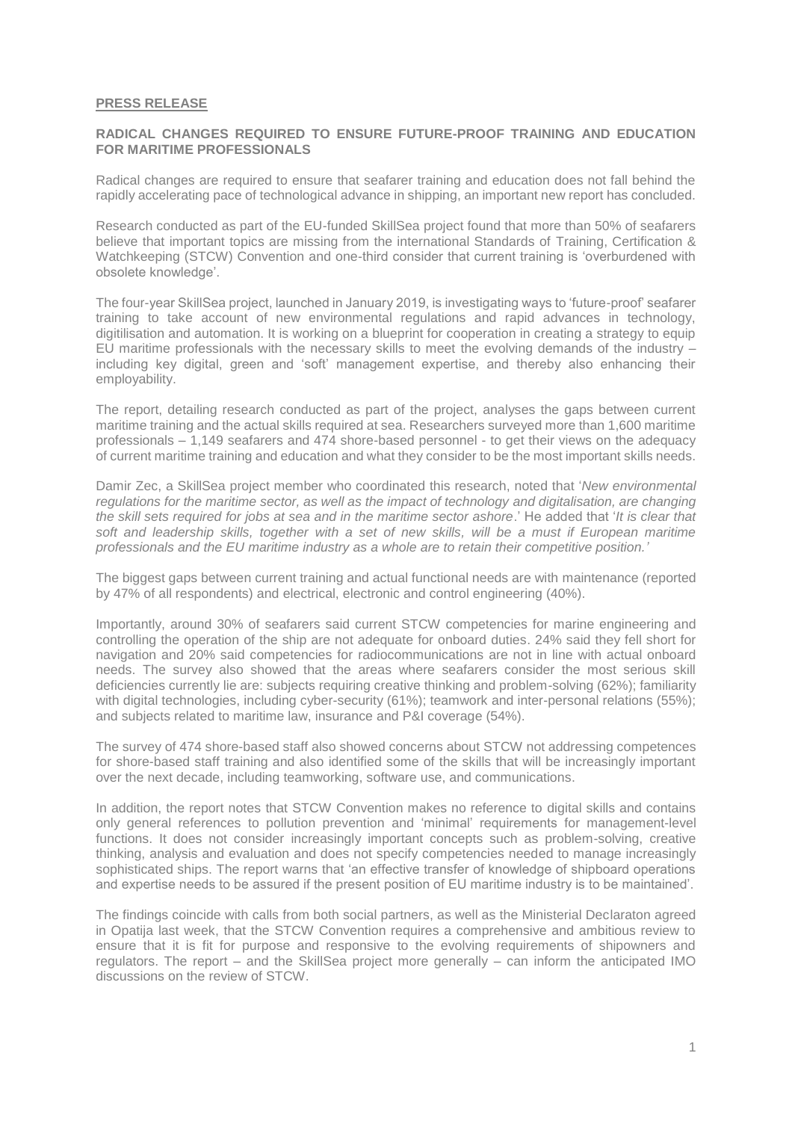## **PRESS RELEASE**

## **RADICAL CHANGES REQUIRED TO ENSURE FUTURE-PROOF TRAINING AND EDUCATION FOR MARITIME PROFESSIONALS**

Radical changes are required to ensure that seafarer training and education does not fall behind the rapidly accelerating pace of technological advance in shipping, an important new report has concluded.

Research conducted as part of the EU-funded SkillSea project found that more than 50% of seafarers believe that important topics are missing from the international Standards of Training, Certification & Watchkeeping (STCW) Convention and one-third consider that current training is 'overburdened with obsolete knowledge'.

The four-year SkillSea project, launched in January 2019, is investigating ways to 'future-proof' seafarer training to take account of new environmental regulations and rapid advances in technology, digitilisation and automation. It is working on a blueprint for cooperation in creating a strategy to equip EU maritime professionals with the necessary skills to meet the evolving demands of the industry – including key digital, green and 'soft' management expertise, and thereby also enhancing their employability.

The report, detailing research conducted as part of the project, analyses the gaps between current maritime training and the actual skills required at sea. Researchers surveyed more than 1,600 maritime professionals – 1,149 seafarers and 474 shore-based personnel - to get their views on the adequacy of current maritime training and education and what they consider to be the most important skills needs.

Damir Zec, a SkillSea project member who coordinated this research, noted that '*New environmental regulations for the maritime sector, as well as the impact of technology and digitalisation, are changing the skill sets required for jobs at sea and in the maritime sector ashore*.' He added that '*It is clear that soft and leadership skills, together with a set of new skills, will be a must if European maritime professionals and the EU maritime industry as a whole are to retain their competitive position.'*

The biggest gaps between current training and actual functional needs are with maintenance (reported by 47% of all respondents) and electrical, electronic and control engineering (40%).

Importantly, around 30% of seafarers said current STCW competencies for marine engineering and controlling the operation of the ship are not adequate for onboard duties. 24% said they fell short for navigation and 20% said competencies for radiocommunications are not in line with actual onboard needs. The survey also showed that the areas where seafarers consider the most serious skill deficiencies currently lie are: subjects requiring creative thinking and problem-solving (62%); familiarity with digital technologies, including cyber-security (61%); teamwork and inter-personal relations (55%); and subjects related to maritime law, insurance and P&I coverage (54%).

The survey of 474 shore-based staff also showed concerns about STCW not addressing competences for shore-based staff training and also identified some of the skills that will be increasingly important over the next decade, including teamworking, software use, and communications.

In addition, the report notes that STCW Convention makes no reference to digital skills and contains only general references to pollution prevention and 'minimal' requirements for management-level functions. It does not consider increasingly important concepts such as problem-solving, creative thinking, analysis and evaluation and does not specify competencies needed to manage increasingly sophisticated ships. The report warns that 'an effective transfer of knowledge of shipboard operations and expertise needs to be assured if the present position of EU maritime industry is to be maintained'.

The findings coincide with calls from both social partners, as well as the Ministerial Declaraton agreed in Opatija last week, that the STCW Convention requires a comprehensive and ambitious review to ensure that it is fit for purpose and responsive to the evolving requirements of shipowners and regulators. The report – and the SkillSea project more generally – can inform the anticipated IMO discussions on the review of STCW.